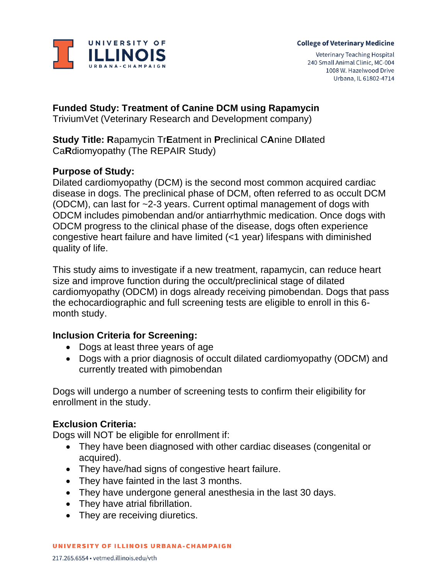

#### **College of Veterinary Medicine**

Veterinary Teaching Hospital 240 Small Animal Clinic, MC-004 1008 W. Hazelwood Drive Urbana, IL 61802-4714

# **Funded Study: Treatment of Canine DCM using Rapamycin**

TriviumVet (Veterinary Research and Development company)

**Study Title: R**apamycin Tr**E**atment in **P**reclinical C**A**nine D**I**lated Ca**R**diomyopathy (The REPAIR Study)

### **Purpose of Study:**

Dilated cardiomyopathy (DCM) is the second most common acquired cardiac disease in dogs. The preclinical phase of DCM, often referred to as occult DCM (ODCM), can last for ~2-3 years. Current optimal management of dogs with ODCM includes pimobendan and/or antiarrhythmic medication. Once dogs with ODCM progress to the clinical phase of the disease, dogs often experience congestive heart failure and have limited (<1 year) lifespans with diminished quality of life.

This study aims to investigate if a new treatment, rapamycin, can reduce heart size and improve function during the occult/preclinical stage of dilated cardiomyopathy (ODCM) in dogs already receiving pimobendan. Dogs that pass the echocardiographic and full screening tests are eligible to enroll in this 6 month study.

## **Inclusion Criteria for Screening:**

- Dogs at least three years of age
- Dogs with a prior diagnosis of occult dilated cardiomyopathy (ODCM) and currently treated with pimobendan

Dogs will undergo a number of screening tests to confirm their eligibility for enrollment in the study.

### **Exclusion Criteria:**

Dogs will NOT be eligible for enrollment if:

- They have been diagnosed with other cardiac diseases (congenital or acquired).
- They have/had signs of congestive heart failure.
- They have fainted in the last 3 months.
- They have undergone general anesthesia in the last 30 days.
- They have atrial fibrillation.
- They are receiving diuretics.